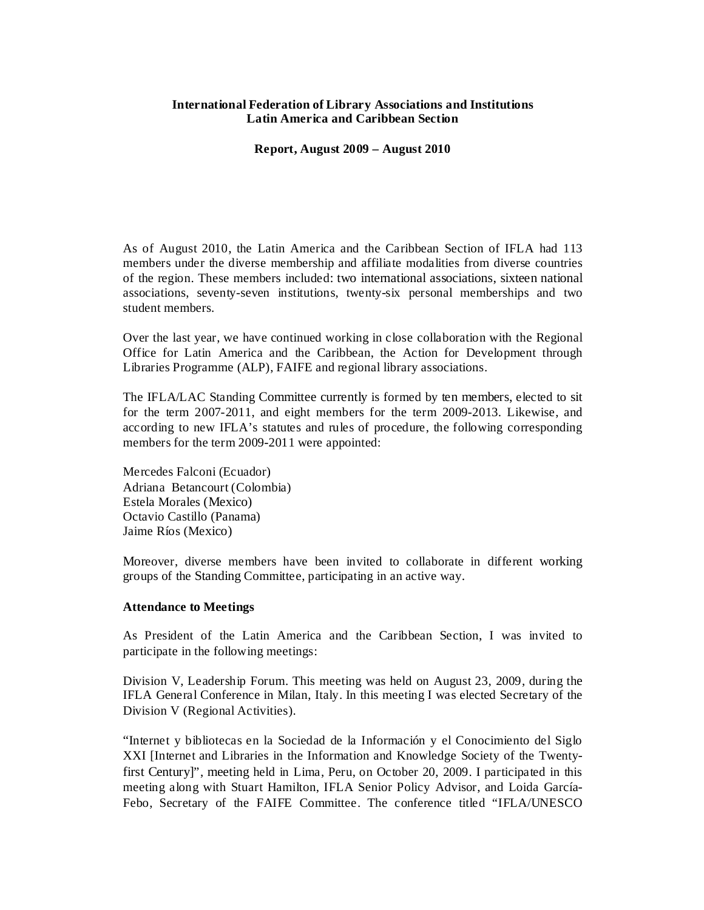### **International Federation of Library Associations and Institutions Latin America and Caribbean Section**

**Report, August 2009 – August 2010**

As of August 2010, the Latin America and the Caribbean Section of IFLA had 113 members under the diverse membership and affiliate modalities from diverse countries of the region. These members included: two international associations, sixteen national associations, seventy-seven institutions, twenty-six personal memberships and two student members.

Over the last year, we have continued working in close collaboration with the Regional Office for Latin America and the Caribbean, the Action for Development through Libraries Programme (ALP), FAIFE and regional library associations.

The IFLA/LAC Standing Committee currently is formed by ten members, elected to sit for the term 2007-2011, and eight members for the term 2009-2013. Likewise, and according to new IFLA's statutes and rules of procedure, the following corresponding members for the term 2009-2011 were appointed:

Mercedes Falconi (Ecuador) Adriana Betancourt (Colombia) Estela Morales (Mexico) Octavio Castillo (Panama) Jaime Ríos (Mexico)

Moreover, diverse members have been invited to collaborate in different working groups of the Standing Committee, participating in an active way.

### **Attendance to Meetings**

As President of the Latin America and the Caribbean Section, I was invited to participate in the following meetings:

Division V, Leadership Forum. This meeting was held on August 23, 2009, during the IFLA General Conference in Milan, Italy. In this meeting I was elected Secretary of the Division V (Regional Activities).

"Internet y bibliotecas en la Sociedad de la Información y el Conocimiento del Siglo XXI [Internet and Libraries in the Information and Knowledge Society of the Twentyfirst Century]", meeting held in Lima, Peru, on October 20, 2009. I participated in this meeting along with Stuart Hamilton, IFLA Senior Policy Advisor, and Loida García-Febo, Secretary of the FAIFE Committee. The conference titled "IFLA/UNESCO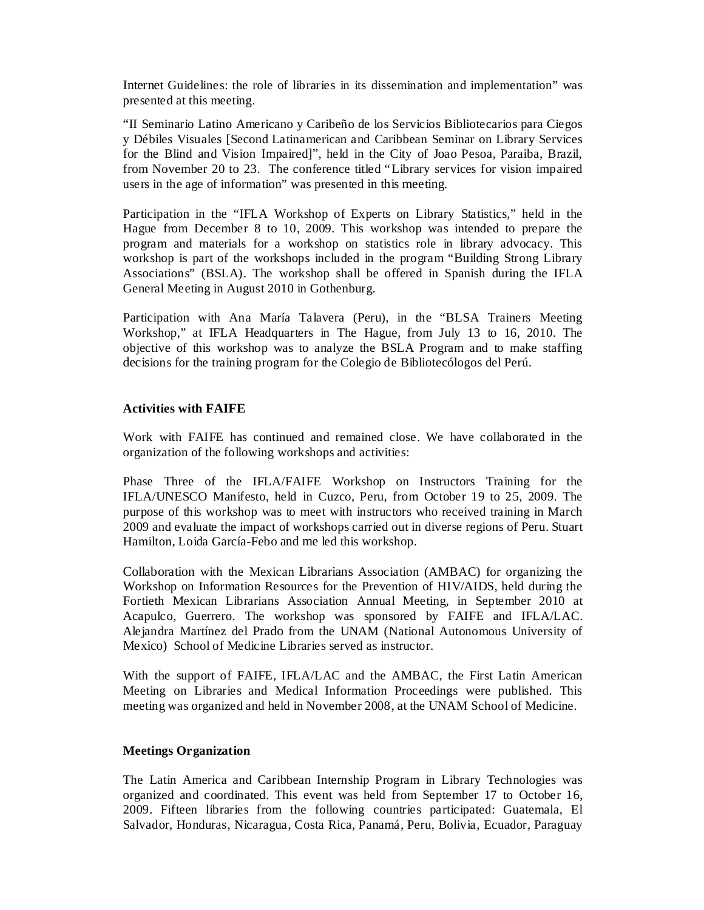Internet Guidelines: the role of libraries in its dissemination and implementation" was presented at this meeting.

"II Seminario Latino Americano y Caribeño de los Servicios Bibliotecarios para Ciegos y Débiles Visuales [Second Latinamerican and Caribbean Seminar on Library Services for the Blind and Vision Impaired]", held in the City of Joao Pesoa, Paraiba, Brazil, from November 20 to 23. The conference titled "Library services for vision impaired users in the age of information" was presented in this meeting.

Participation in the "IFLA Workshop of Experts on Library Statistics," held in the Hague from December 8 to 10, 2009. This workshop was intended to prepare the program and materials for a workshop on statistics role in library advocacy. This workshop is part of the workshops included in the program "Building Strong Library Associations" (BSLA). The workshop shall be offered in Spanish during the IFLA General Meeting in August 2010 in Gothenburg.

Participation with Ana María Talavera (Peru), in the "BLSA Trainers Meeting Workshop," at IFLA Headquarters in The Hague, from July 13 to 16, 2010. The objective of this workshop was to analyze the BSLA Program and to make staffing decisions for the training program for the Colegio de Bibliotecólogos del Perú.

## **Activities with FAIFE**

Work with FAIFE has continued and remained close. We have collaborated in the organization of the following workshops and activities:

Phase Three of the IFLA/FAIFE Workshop on Instructors Training for the IFLA/UNESCO Manifesto, held in Cuzco, Peru, from October 19 to 25, 2009. The purpose of this workshop was to meet with instructors who received training in March 2009 and evaluate the impact of workshops carried out in diverse regions of Peru. Stuart Hamilton, Loida García-Febo and me led this workshop.

Collaboration with the Mexican Librarians Association (AMBAC) for organizing the Workshop on Information Resources for the Prevention of HIV/AIDS, held during the Fortieth Mexican Librarians Association Annual Meeting, in September 2010 at Acapulco, Guerrero. The workshop was sponsored by FAIFE and IFLA/LAC. Alejandra Martínez del Prado from the UNAM (National Autonomous University of Mexico) School of Medicine Libraries served as instructor.

With the support of FAIFE, IFLA/LAC and the AMBAC, the First Latin American Meeting on Libraries and Medical Information Proceedings were published. This meeting was organized and held in November 2008, at the UNAM School of Medicine.

### **Meetings Organization**

The Latin America and Caribbean Internship Program in Library Technologies was organized and coordinated. This event was held from September 17 to October 16, 2009. Fifteen libraries from the following countries participated: Guatemala, El Salvador, Honduras, Nicaragua, Costa Rica, Panamá, Peru, Bolivia, Ecuador, Paraguay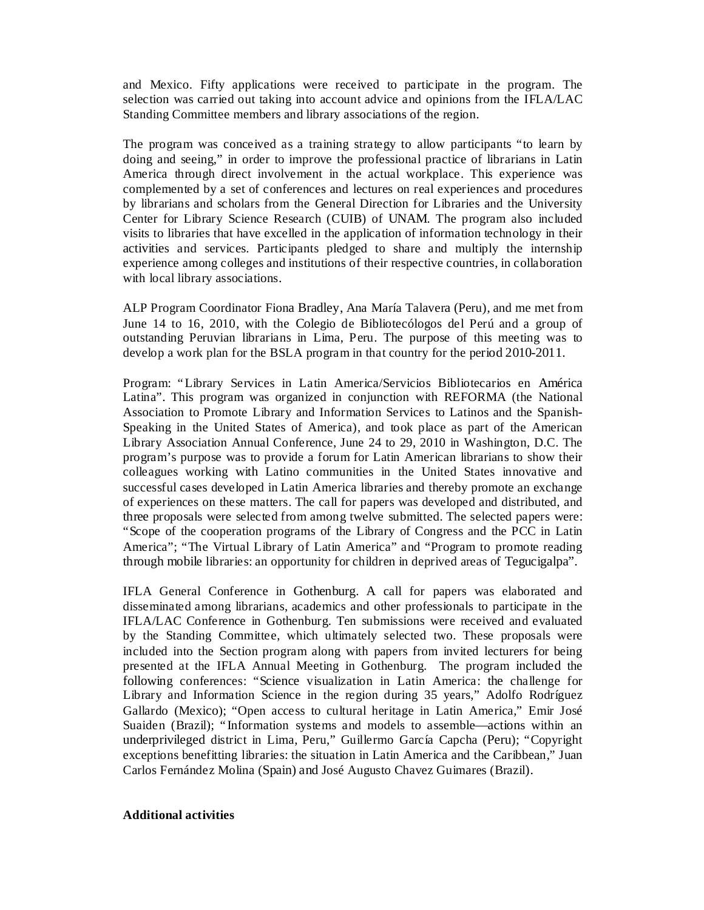and Mexico. Fifty applications were received to participate in the program. The selection was carried out taking into account advice and opinions from the IFLA/LAC Standing Committee members and library associations of the region.

The program was conceived as a training strategy to allow participants "to learn by doing and seeing," in order to improve the professional practice of librarians in Latin America through direct involvement in the actual workplace. This experience was complemented by a set of conferences and lectures on real experiences and procedures by librarians and scholars from the General Direction for Libraries and the University Center for Library Science Research (CUIB) of UNAM. The program also included visits to libraries that have excelled in the application of information technology in their activities and services. Participants pledged to share and multiply the internship experience among colleges and institutions of their respective countries, in collaboration with local library associations.

ALP Program Coordinator Fiona Bradley, Ana María Talavera (Peru), and me met from June 14 to 16, 2010, with the Colegio de Bibliotecólogos del Perú and a group of outstanding Peruvian librarians in Lima, Peru. The purpose of this meeting was to develop a work plan for the BSLA program in that country for the period 2010-2011.

Program: "Library Services in Latin America/Servicios Bibliotecarios en América Latina". This program was organized in conjunction with REFORMA (the National Association to Promote Library and Information Services to Latinos and the Spanish-Speaking in the United States of America), and took place as part of the American Library Association Annual Conference, June 24 to 29, 2010 in Washington, D.C. The program's purpose was to provide a forum for Latin American librarians to show their colleagues working with Latino communities in the United States innovative and successful cases developed in Latin America libraries and thereby promote an exchange of experiences on these matters. The call for papers was developed and distributed, and three proposals were selected from among twelve submitted. The selected papers were: "Scope of the cooperation programs of the Library of Congress and the PCC in Latin America"; "The Virtual Library of Latin America" and "Program to promote reading through mobile libraries: an opportunity for children in deprived areas of Tegucigalpa".

IFLA General Conference in Gothenburg. A call for papers was elaborated and disseminated among librarians, academics and other professionals to participate in the IFLA/LAC Conference in Gothenburg. Ten submissions were received and evaluated by the Standing Committee, which ultimately selected two. These proposals were included into the Section program along with papers from invited lecturers for being presented at the IFLA Annual Meeting in Gothenburg. The program included the following conferences: "Science visualization in Latin America: the challenge for Library and Information Science in the region during 35 years," Adolfo Rodríguez Gallardo (Mexico); "Open access to cultural heritage in Latin America," Emir José Suaiden (Brazil); " Information systems and models to assemble—actions within an underprivileged district in Lima, Peru," Guillermo García Capcha (Peru); "Copyright exceptions benefitting libraries: the situation in Latin America and the Caribbean," Juan Carlos Fernández Molina (Spain) and José Augusto Chavez Guimares (Brazil).

# **Additional activities**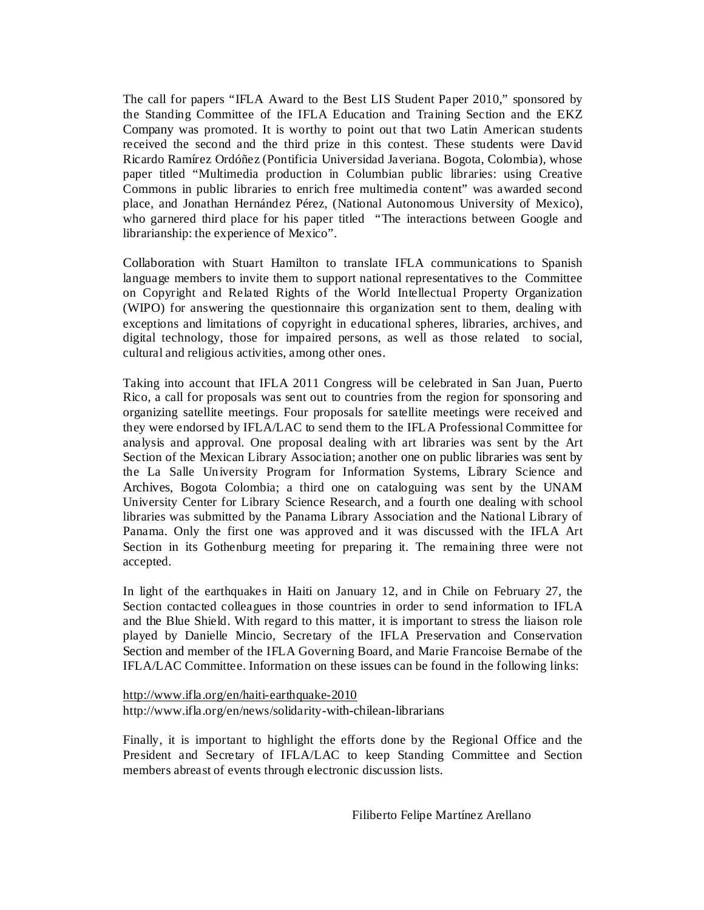The call for papers "IFLA Award to the Best LIS Student Paper 2010," sponsored by the Standing Committee of the IFLA Education and Training Section and the EKZ Company was promoted. It is worthy to point out that two Latin American students received the second and the third prize in this contest. These students were David Ricardo Ramírez Ordóñez (Pontificia Universidad Javeriana. Bogota, Colombia), whose paper titled "Multimedia production in Columbian public libraries: using Creative Commons in public libraries to enrich free multimedia content" was awarded second place, and Jonathan Hernández Pérez, (National Autonomous University of Mexico), who garnered third place for his paper titled "The interactions between Google and librarianship: the experience of Mexico".

Collaboration with Stuart Hamilton to translate IFLA communications to Spanish language members to invite them to support national representatives to the Committee on Copyright and Related Rights of the World Intellectual Property Organization (WIPO) for answering the questionnaire this organization sent to them, dealing with exceptions and limitations of copyright in educational spheres, libraries, archives, and digital technology, those for impaired persons, as well as those related to social, cultural and religious activities, among other ones.

Taking into account that IFLA 2011 Congress will be celebrated in San Juan, Puerto Rico, a call for proposals was sent out to countries from the region for sponsoring and organizing satellite meetings. Four proposals for satellite meetings were received and they were endorsed by IFLA/LAC to send them to the IFLA Professional Committee for analysis and approval. One proposal dealing with art libraries was sent by the Art Section of the Mexican Library Association; another one on public libraries was sent by the La Salle University Program for Information Systems, Library Science and Archives, Bogota Colombia; a third one on cataloguing was sent by the UNAM University Center for Library Science Research, and a fourth one dealing with school libraries was submitted by the Panama Library Association and the National Library of Panama. Only the first one was approved and it was discussed with the IFLA Art Section in its Gothenburg meeting for preparing it. The remaining three were not accepted.

In light of the earthquakes in Haiti on January 12, and in Chile on February 27, the Section contacted colleagues in those countries in order to send information to IFLA and the Blue Shield. With regard to this matter, it is important to stress the liaison role played by Danielle Mincio, Secretary of the IFLA Preservation and Conservation Section and member of the IFLA Governing Board, and Marie Francoise Bernabe of the IFLA/LAC Committee. Information on these issues can be found in the following links:

http://www.ifla.org/en/haiti-earthquake-2010 http://www.ifla.org/en/news/solidarity-with-chilean-librarians

Finally, it is important to highlight the efforts done by the Regional Office and the President and Secretary of IFLA/LAC to keep Standing Committee and Section members abreast of events through electronic discussion lists.